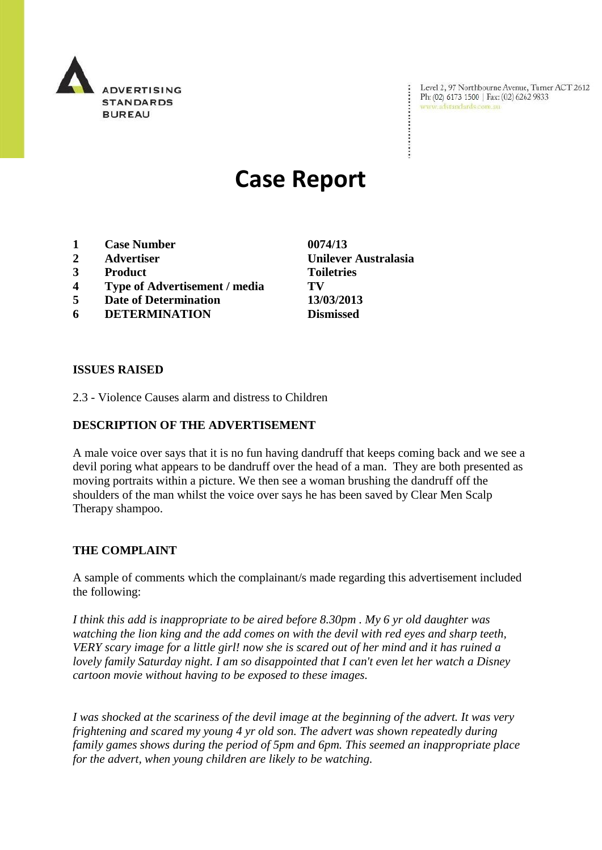

Level 2, 97 Northbourne Avenue, Turner ACT 2612 Ph: (02) 6173 1500 | Fax: (02) 6262 9833 www.adstandards.com.au

# **Case Report**

- **1 Case Number 0074/13**
- **2 Advertiser Unilever Australasia**
- **3 Product Toiletries**
- **4 Type of Advertisement / media TV**
- **5 Date of Determination 13/03/2013**
- **6 DETERMINATION Dismissed**

**ISSUES RAISED**

2.3 - Violence Causes alarm and distress to Children

## **DESCRIPTION OF THE ADVERTISEMENT**

A male voice over says that it is no fun having dandruff that keeps coming back and we see a devil poring what appears to be dandruff over the head of a man. They are both presented as moving portraits within a picture. We then see a woman brushing the dandruff off the shoulders of the man whilst the voice over says he has been saved by Clear Men Scalp Therapy shampoo.

#### **THE COMPLAINT**

A sample of comments which the complainant/s made regarding this advertisement included the following:

*I think this add is inappropriate to be aired before 8.30pm . My 6 yr old daughter was watching the lion king and the add comes on with the devil with red eyes and sharp teeth, VERY scary image for a little girl! now she is scared out of her mind and it has ruined a lovely family Saturday night. I am so disappointed that I can't even let her watch a Disney cartoon movie without having to be exposed to these images.*

*I was shocked at the scariness of the devil image at the beginning of the advert. It was very frightening and scared my young 4 yr old son. The advert was shown repeatedly during family games shows during the period of 5pm and 6pm. This seemed an inappropriate place for the advert, when young children are likely to be watching.*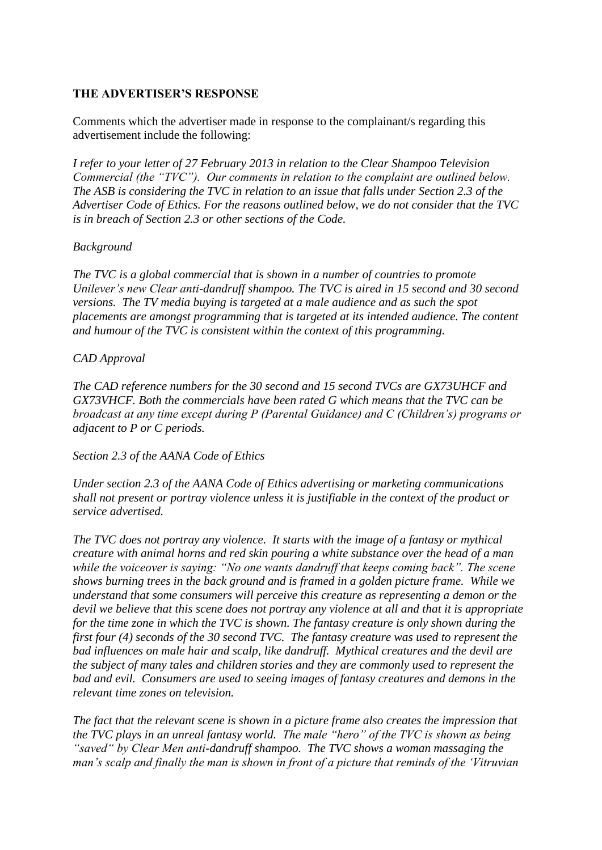## **THE ADVERTISER'S RESPONSE**

Comments which the advertiser made in response to the complainant/s regarding this advertisement include the following:

*I refer to your letter of 27 February 2013 in relation to the Clear Shampoo Television Commercial (the "TVC"). Our comments in relation to the complaint are outlined below. The ASB is considering the TVC in relation to an issue that falls under Section 2.3 of the Advertiser Code of Ethics. For the reasons outlined below, we do not consider that the TVC is in breach of Section 2.3 or other sections of the Code.*

#### *Background*

*The TVC is a global commercial that is shown in a number of countries to promote Unilever"s new Clear anti-dandruff shampoo. The TVC is aired in 15 second and 30 second versions. The TV media buying is targeted at a male audience and as such the spot placements are amongst programming that is targeted at its intended audience. The content and humour of the TVC is consistent within the context of this programming.*

## *CAD Approval*

*The CAD reference numbers for the 30 second and 15 second TVCs are GX73UHCF and GX73VHCF. Both the commercials have been rated G which means that the TVC can be broadcast at any time except during P (Parental Guidance) and C (Children"s) programs or adjacent to P or C periods.* 

*Section 2.3 of the AANA Code of Ethics*

*Under section 2.3 of the AANA Code of Ethics advertising or marketing communications shall not present or portray violence unless it is justifiable in the context of the product or service advertised.*

*The TVC does not portray any violence. It starts with the image of a fantasy or mythical creature with animal horns and red skin pouring a white substance over the head of a man while the voiceover is saying: "No one wants dandruff that keeps coming back". The scene shows burning trees in the back ground and is framed in a golden picture frame. While we understand that some consumers will perceive this creature as representing a demon or the devil we believe that this scene does not portray any violence at all and that it is appropriate for the time zone in which the TVC is shown. The fantasy creature is only shown during the first four (4) seconds of the 30 second TVC. The fantasy creature was used to represent the bad influences on male hair and scalp, like dandruff. Mythical creatures and the devil are the subject of many tales and children stories and they are commonly used to represent the bad and evil. Consumers are used to seeing images of fantasy creatures and demons in the relevant time zones on television.* 

*The fact that the relevant scene is shown in a picture frame also creates the impression that the TVC plays in an unreal fantasy world. The male "hero" of the TVC is shown as being "saved" by Clear Men anti-dandruff shampoo. The TVC shows a woman massaging the man"s scalp and finally the man is shown in front of a picture that reminds of the "Vitruvian*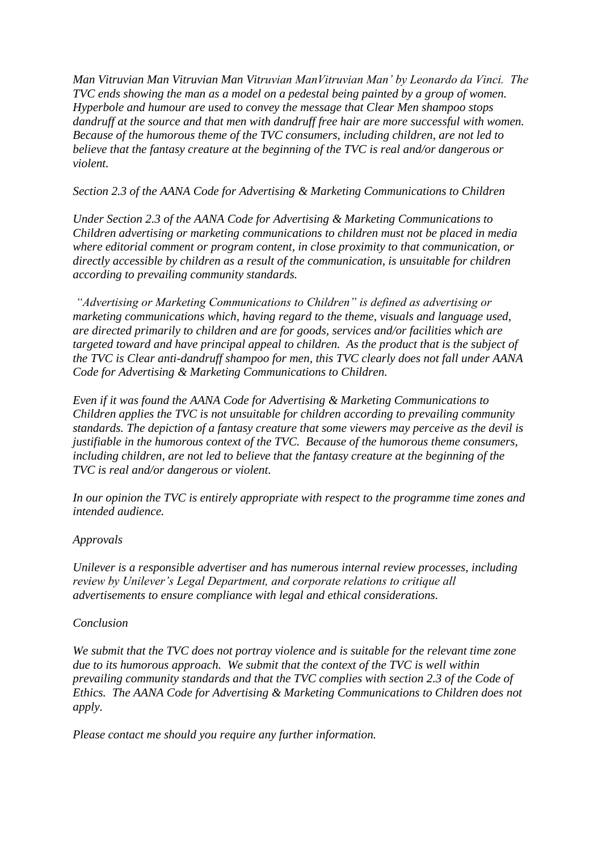*Man Vitruvian Man Vitruvian Man Vitruvian ManVitruvian Man" by Leonardo da Vinci. The TVC ends showing the man as a model on a pedestal being painted by a group of women. Hyperbole and humour are used to convey the message that Clear Men shampoo stops dandruff at the source and that men with dandruff free hair are more successful with women. Because of the humorous theme of the TVC consumers, including children, are not led to believe that the fantasy creature at the beginning of the TVC is real and/or dangerous or violent.* 

*Section 2.3 of the AANA Code for Advertising & Marketing Communications to Children* 

*Under Section 2.3 of the AANA Code for Advertising & Marketing Communications to Children advertising or marketing communications to children must not be placed in media where editorial comment or program content, in close proximity to that communication, or directly accessible by children as a result of the communication, is unsuitable for children according to prevailing community standards.* 

*"Advertising or Marketing Communications to Children" is defined as advertising or marketing communications which, having regard to the theme, visuals and language used, are directed primarily to children and are for goods, services and/or facilities which are targeted toward and have principal appeal to children. As the product that is the subject of the TVC is Clear anti-dandruff shampoo for men, this TVC clearly does not fall under AANA Code for Advertising & Marketing Communications to Children.*

*Even if it was found the AANA Code for Advertising & Marketing Communications to Children applies the TVC is not unsuitable for children according to prevailing community standards. The depiction of a fantasy creature that some viewers may perceive as the devil is justifiable in the humorous context of the TVC. Because of the humorous theme consumers, including children, are not led to believe that the fantasy creature at the beginning of the TVC is real and/or dangerous or violent.* 

*In our opinion the TVC is entirely appropriate with respect to the programme time zones and intended audience.* 

# *Approvals*

*Unilever is a responsible advertiser and has numerous internal review processes, including review by Unilever"s Legal Department, and corporate relations to critique all advertisements to ensure compliance with legal and ethical considerations.* 

#### *Conclusion*

*We submit that the TVC does not portray violence and is suitable for the relevant time zone due to its humorous approach. We submit that the context of the TVC is well within prevailing community standards and that the TVC complies with section 2.3 of the Code of Ethics. The AANA Code for Advertising & Marketing Communications to Children does not apply.*

*Please contact me should you require any further information.*